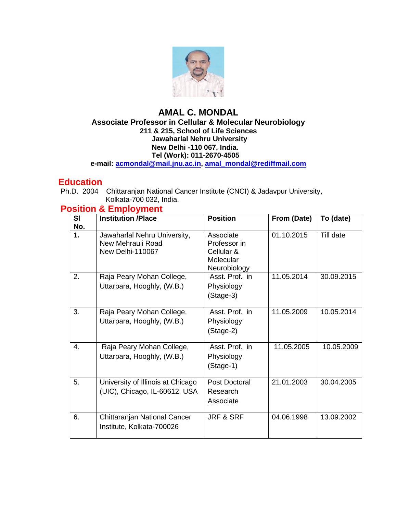

### **AMAL C. MONDAL Associate Professor in Cellular & Molecular Neurobiology 211 & 215, School of Life Sciences Jawaharlal Nehru University New Delhi -110 067, India. Tel (Work): 011-2670-4505 e-mail: [acmondal@mail.jnu.ac.in,](mailto:acmondal@mail.jnu.ac.in) [amal\\_mondal@rediffmail.com](mailto:amal_mondal@rediffmail.com)**

## **Education**

Ph.D. 2004 Chittaranjan National Cancer Institute (CNCI) & Jadavpur University, Kolkata-700 032, India.

| SI<br>No. | <b>Institution /Place</b>                                             | <b>Position</b>                                                      | From (Date) | To (date)  |
|-----------|-----------------------------------------------------------------------|----------------------------------------------------------------------|-------------|------------|
| 1.        | Jawaharlal Nehru University,<br>New Mehrauli Road<br>New Delhi-110067 | Associate<br>Professor in<br>Cellular &<br>Molecular<br>Neurobiology | 01.10.2015  | Till date  |
| 2.        | Raja Peary Mohan College,<br>Uttarpara, Hooghly, (W.B.)               | Asst. Prof. in<br>Physiology<br>$(Stage-3)$                          | 11.05.2014  | 30.09.2015 |
| 3.        | Raja Peary Mohan College,<br>Uttarpara, Hooghly, (W.B.)               | Asst. Prof. in<br>Physiology<br>$(Stage-2)$                          | 11.05.2009  | 10.05.2014 |
| 4.        | Raja Peary Mohan College,<br>Uttarpara, Hooghly, (W.B.)               | Asst. Prof. in<br>Physiology<br>$(Stage-1)$                          | 11.05.2005  | 10.05.2009 |
| 5.        | University of Illinois at Chicago<br>(UIC), Chicago, IL-60612, USA    | Post Doctoral<br>Research<br>Associate                               | 21.01.2003  | 30.04.2005 |
| 6.        | Chittaranjan National Cancer<br>Institute, Kolkata-700026             | <b>JRF &amp; SRF</b>                                                 | 04.06.1998  | 13.09.2002 |

## **Position & Employment**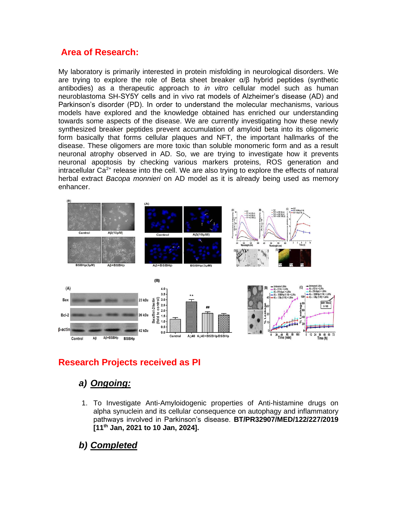## **Area of Research:**

My laboratory is primarily interested in protein misfolding in neurological disorders. We are trying to explore the role of Beta sheet breaker  $\alpha/\beta$  hybrid peptides (synthetic antibodies) as a therapeutic approach to *in vitro* cellular model such as human neuroblastoma SH-SY5Y cells and in vivo rat models of Alzheimer's disease (AD) and Parkinson's disorder (PD). In order to understand the molecular mechanisms, various models have explored and the knowledge obtained has enriched our understanding towards some aspects of the disease. We are currently investigating how these newly synthesized breaker peptides prevent accumulation of amyloid beta into its oligomeric form basically that forms cellular plaques and NFT, the important hallmarks of the disease. These oligomers are more toxic than soluble monomeric form and as a result neuronal atrophy observed in AD. So, we are trying to investigate how it prevents neuronal apoptosis by checking various markers proteins, ROS generation and intracellular  $Ca<sup>2+</sup>$  release into the cell. We are also trying to explore the effects of natural herbal extract *Bacopa monnieri* on AD model as it is already being used as memory enhancer.



# **Research Projects received as PI**

# *a) Ongoing:*

- 1. To Investigate Anti-Amyloidogenic properties of Anti-histamine drugs on alpha synuclein and its cellular consequence on autophagy and inflammatory pathways involved in Parkinson's disease. **BT/PR32907/MED/122/227/2019 [11 th Jan, 2021 to 10 Jan, 2024].**
- *b) Completed*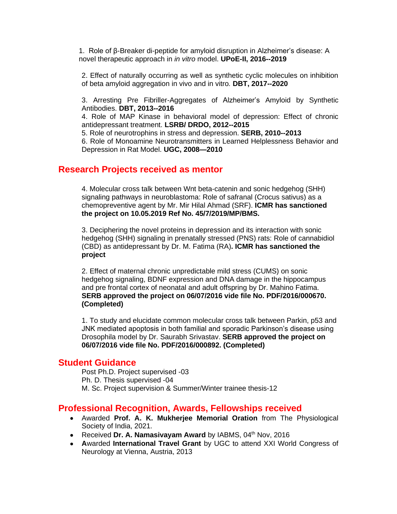1. Role of β-Breaker di-peptide for amyloid disruption in Alzheimer's disease: A novel therapeutic approach in *in vitro* model. **UPoE-II, 2016--2019**

2. Effect of naturally occurring as well as synthetic cyclic molecules on inhibition of beta amyloid aggregation in vivo and in vitro*.* **DBT, 2017--2020**

3. Arresting Pre Fibriller-Aggregates of Alzheimer's Amyloid by Synthetic Antibodies. **DBT, 2013--2016**

4. Role of MAP Kinase in behavioral model of depression: Effect of chronic antidepressant treatment. **LSRB/ DRDO, 2012--2015**

5. Role of neurotrophins in stress and depression. **SERB, 2010--2013**

6. Role of Monoamine Neurotransmitters in Learned Helplessness Behavior and Depression in Rat Model. **UGC, 2008—2010**

### **Research Projects received as mentor**

4. Molecular cross talk between Wnt beta-catenin and sonic hedgehog (SHH) signaling pathways in neuroblastoma: Role of safranal (Crocus sativus) as a chemopreventive agent by Mr. Mir Hilal Ahmad (SRF). **ICMR has sanctioned the project on 10.05.2019 Ref No. 45/7/2019/MP/BMS.**

3. Deciphering the novel proteins in depression and its interaction with sonic hedgehog (SHH) signaling in prenatally stressed (PNS) rats: Role of cannabidiol (CBD) as antidepressant by Dr. M. Fatima (RA)**. ICMR has sanctioned the project**

2. Effect of maternal chronic unpredictable mild stress (CUMS) on sonic hedgehog signaling, BDNF expression and DNA damage in the hippocampus and pre frontal cortex of neonatal and adult offspring by Dr. Mahino Fatima. **SERB approved the project on 06/07/2016 vide file No. PDF/2016/000670. (Completed)**

1. To study and elucidate common molecular cross talk between Parkin, p53 and JNK mediated apoptosis in both familial and sporadic Parkinson's disease using Drosophila model by Dr. Saurabh Srivastav. **SERB approved the project on 06/07/2016 vide file No. PDF/2016/000892. (Completed)**

#### **Student Guidance**

Post Ph.D. Project supervised -03 Ph. D. Thesis supervised -04 M. Sc. Project supervision & Summer/Winter trainee thesis-12

### **Professional Recognition, Awards, Fellowships received**

- Awarded **Prof. A. K. Mukherjee Memorial Oration** from The Physiological Society of India, 2021.
- Received **Dr. A. Namasivayam Award** by IABMS, 04<sup>th</sup> Nov, 2016
- **A**warded **International Travel Grant** by UGC to attend XXI World Congress of Neurology at Vienna, Austria, 2013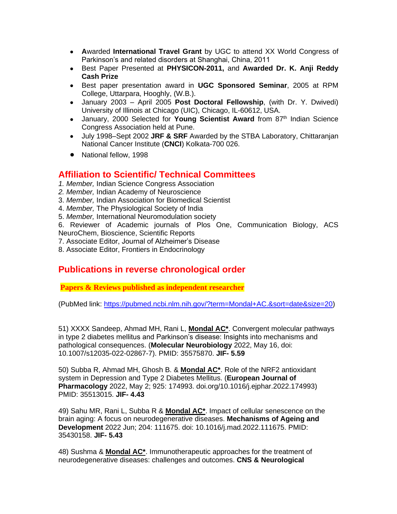- **A**warded **International Travel Grant** by UGC to attend XX World Congress of Parkinson's and related disorders at Shanghai, China, 2011
- Best Paper Presented at **PHYSICON-2011,** and **Awarded Dr. K. Anji Reddy Cash Prize**
- Best paper presentation award in **UGC Sponsored Seminar**, 2005 at RPM College, Uttarpara, Hooghly, (W.B.).
- January 2003 April 2005 **Post Doctoral Fellowship**, (with Dr. Y. Dwivedi) University of Illinois at Chicago (UIC), Chicago, IL-60612, USA.
- January, 2000 Selected for **Young Scientist Award** from 87th Indian Science Congress Association held at Pune.
- July 1998–Sept 2002 **JRF & SRF** Awarded by the STBA Laboratory, Chittaranjan National Cancer Institute (**CNCI**) Kolkata-700 026.
- National fellow, 1998

# **Affiliation to Scientific/ Technical Committees**

- *1. Member,* Indian Science Congress Association
- *2. Member,* Indian Academy of Neuroscience
- 3. *Member,* Indian Association for Biomedical Scientist
- 4. *Member,* The Physiological Society of India
- 5. *Member,* International Neuromodulation society
- 6. Reviewer of Academic journals of Plos One, Communication Biology, ACS NeuroChem, Bioscience, Scientific Reports
- 7. Associate Editor, Journal of Alzheimer's Disease
- 8. Associate Editor, Frontiers in Endocrinology

# **Publications in reverse chronological order**

**Papers & Reviews published as independent researcher**

(PubMed link: [https://pubmed.ncbi.nlm.nih.gov/?term=Mondal+AC.&sort=date&size=20\)](https://pubmed.ncbi.nlm.nih.gov/?term=Mondal+AC.&sort=date&size=20)

51) XXXX Sandeep, Ahmad MH, Rani L, **Mondal AC\***. Convergent molecular pathways in type 2 diabetes mellitus and Parkinson's disease: Insights into mechanisms and pathological consequences. (**Molecular Neurobiology** 2022, May 16, doi: 10.1007/s12035-022-02867-7). PMID: 35575870. **JIF- 5.59**

50) Subba R, Ahmad MH, Ghosh B. & **Mondal AC\***. Role of the NRF2 antioxidant system in Depression and Type 2 Diabetes Mellitus. (**European Journal of Pharmacology** 2022, May 2; 925: 174993. doi.org/10.1016/j.ejphar.2022.174993) PMID: 35513015. **JIF- 4.43**

49) Sahu MR, Rani L, Subba R & **Mondal AC\***. Impact of cellular senescence on the brain aging: A focus on neurodegenerative diseases. **Mechanisms of Ageing and Development** 2022 Jun; 204: 111675. doi: 10.1016/j.mad.2022.111675. PMID: 35430158. **JIF- 5.43**

48) Sushma & **Mondal AC\***. Immunotherapeutic approaches for the treatment of neurodegenerative diseases: challenges and outcomes. **CNS & Neurological**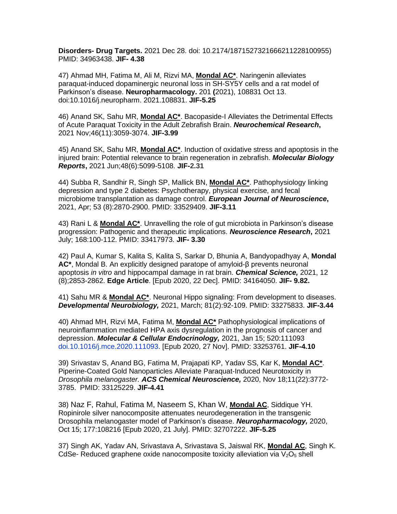**Disorders- Drug Targets.** 2021 Dec 28. doi: 10.2174/1871527321666211228100955) PMID: 34963438. **JIF- 4.38**

47) Ahmad MH, Fatima M, Ali M, Rizvi MA, **Mondal AC\***. Naringenin alleviates paraquat-induced dopaminergic neuronal loss in SH-SY5Y cells and a rat model of Parkinson's disease. **Neuropharmacology.** 201 **(**2021), 108831 Oct 13. doi:10.1016/j.neuropharm. 2021.108831. **JIF-5.25**

46) Anand SK, Sahu MR, **Mondal AC\***. Bacopaside-I Alleviates the Detrimental Effects of Acute Paraquat Toxicity in the Adult Zebrafish Brain. *Neurochemical Research***,**  2021 Nov;46(11):3059-3074. **JIF-3.99**

45) Anand SK, Sahu MR, **Mondal AC\***. Induction of oxidative stress and apoptosis in the injured brain: Potential relevance to brain regeneration in zebrafish. *Molecular Biology Reports***,** 2021 Jun;48(6):5099-5108. **JIF-2.31**

44) Subba R, Sandhir R, Singh SP, Mallick BN, **Mondal AC\***. Pathophysiology linking depression and type 2 diabetes: Psychotherapy, physical exercise, and fecal microbiome transplantation as damage control. *European Journal of Neuroscience***,** 2021, Apr; 53 (8):2870-2900. PMID: 33529409. **JIF-3.11**

43) Rani L & **Mondal AC\***. Unravelling the role of gut microbiota in Parkinson's disease progression: Pathogenic and therapeutic implications. *Neuroscience Research***,** 2021 July; 168:100-112. PMID: 33417973. **JIF- 3.30**

42) Paul A, Kumar S, Kalita S, Kalita S, Sarkar D, Bhunia A, Bandyopadhyay A, **Mondal AC\***, Mondal B. An explicitly designed paratope of amyloid-β prevents neuronal apoptosis *in vitro* and hippocampal damage in rat brain. *Chemical Science,* 2021, 12 (8);2853-2862. **Edge Article**. [Epub 2020, 22 Dec]. PMID: 34164050. **JIF- 9.82.** 

41) Sahu MR & **Mondal AC\***. Neuronal Hippo signaling: From development to diseases. *Developmental Neurobiology,* 2021, March; 81(2):92-109. PMID: 33275833. **JIF-3.44**

40) Ahmad MH, Rizvi MA, Fatima M, **Mondal AC\*** Pathophysiological implications of neuroinflammation mediated HPA axis dysregulation in the prognosis of cancer and depression. *Molecular & Cellular Endocrinology,* 2021, Jan 15; 520:111093 doi.10.1016/j.mce.2020.111093. [Epub 2020, 27 Nov]. PMID: 33253761. **JIF-4.10**

39) Srivastav S, Anand BG, Fatima M, Prajapati KP, Yadav SS, Kar K, **Mondal AC\***. Piperine-Coated Gold Nanoparticles Alleviate Paraquat-Induced Neurotoxicity in *Drosophila melanogaster. ACS Chemical Neuroscience,* 2020, Nov 18;11(22):3772- 3785. PMID: 33125229. **JIF-4.41**

38) Naz F, Rahul, Fatima M, Naseem S, Khan W, **Mondal AC**, Siddique YH. Ropinirole silver nanocomposite attenuates neurodegeneration in the transgenic Drosophila melanogaster model of Parkinson's disease. *Neuropharmacology,* 2020, Oct 15; 177:108216 [Epub 2020, 21 July]. PMID: 32707222. **JIF-5.25**

37) Singh AK, Yadav AN, Srivastava A, Srivastava S, Jaiswal RK, **Mondal AC**, Singh K. CdSe- Reduced graphene oxide nanocomposite toxicity alleviation via  $V_2O_5$  shell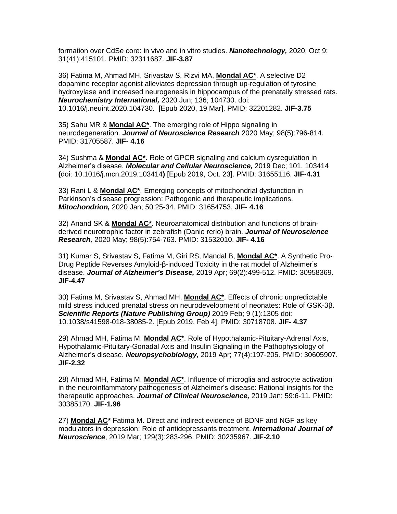formation over CdSe core: in vivo and in vitro studies. *Nanotechnology,* 2020, Oct 9; 31(41):415101. PMID: 32311687. **JIF-3.87**

36) Fatima M, Ahmad MH, Srivastav S, Rizvi MA, **Mondal AC\***. A selective D2 dopamine receptor agonist alleviates depression through up-regulation of tyrosine hydroxylase and increased neurogenesis in hippocampus of the prenatally stressed rats. *Neurochemistry International,* 2020 Jun; 136; 104730. doi: 10.1016/j.neuint.2020.104730. [Epub 2020, 19 Mar]. PMID: 32201282. **JIF-3.75**

35) Sahu MR & **Mondal AC\***. The emerging role of Hippo signaling in neurodegeneration. *Journal of Neuroscience Research* 2020 May; 98(5):796-814. PMID: 31705587. **JIF- 4.16**

34) Sushma & **Mondal AC\***. Role of GPCR signaling and calcium dysregulation in Alzheimer's disease. *Molecular and Cellular Neuroscience,* 2019 Dec; 101, 103414 **(**doi: 10.1016/j.mcn.2019.103414**)** [Epub 2019, Oct. 23]. PMID: 31655116. **JIF-4.31**

33) Rani L & **Mondal AC\***. Emerging concepts of mitochondrial dysfunction in Parkinson's disease progression: Pathogenic and therapeutic implications. *Mitochondrion,* 2020 Jan; 50:25-34. PMID: 31654753. **JIF- 4.16**

32) Anand SK & **Mondal AC\***. Neuroanatomical distribution and functions of brainderived neurotrophic factor in zebrafish (Danio rerio) brain. *Journal of Neuroscience Research,* 2020 May; 98(5):754-763**.** PMID: 31532010. **JIF- 4.16**

31) Kumar S, Srivastav S, Fatima M, Giri RS, Mandal B, **Mondal AC\***. A Synthetic Pro-Drug Peptide Reverses Amyloid-β-induced Toxicity in the rat model of Alzheimer's disease. *Journal of Alzheimer's Disease,* 2019 Apr; 69(2):499-512. PMID: 30958369. **JIF-4.47**

30) Fatima M, Srivastav S, Ahmad MH, **Mondal AC\***. Effects of chronic unpredictable mild stress induced prenatal stress on neurodevelopment of neonates: Role of GSK-3β. *Scientific Reports (Nature Publishing Group)* 2019 Feb; 9 (1):1305 doi: 10.1038/s41598-018-38085-2. [Epub 2019, Feb 4]. PMID: 30718708. **JIF- 4.37**

29) Ahmad MH, Fatima M, **Mondal AC\***. Role of Hypothalamic-Pituitary-Adrenal Axis, Hypothalamic-Pituitary-Gonadal Axis and Insulin Signaling in the Pathophysiology of Alzheimer's disease. *Neuropsychobiology,* 2019 Apr; 77(4):197-205. PMID: 30605907. **JIF-2.32**

28) Ahmad MH, Fatima M, **Mondal AC\***. Influence of microglia and astrocyte activation in the neuroinflammatory pathogenesis of Alzheimer's disease: Rational insights for the therapeutic approaches. *Journal of Clinical Neuroscience,* 2019 Jan; 59:6-11. PMID: 30385170. **JIF-1.96**

27) **Mondal AC\*** Fatima M. Direct and indirect evidence of BDNF and NGF as key modulators in depression: Role of antidepressants treatment. *International Journal of Neuroscience*, 2019 Mar; 129(3):283-296. PMID: 30235967. **JIF-2.10**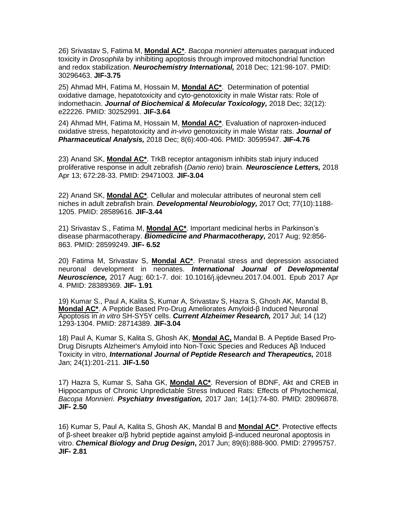26) Srivastav S, Fatima M, **Mondal AC\***. *Bacopa monnieri* attenuates paraquat induced toxicity in *Drosophila* by inhibiting apoptosis through improved mitochondrial function and redox stabilization. *Neurochemistry International,* 2018 Dec; 121:98-107. PMID: 30296463. **JIF-3.75**

25) Ahmad MH, Fatima M, Hossain M, **Mondal AC\***. Determination of potential oxidative damage, hepatotoxicity and cyto-genotoxicity in male Wistar rats: Role of indomethacin. *Journal of Biochemical & Molecular Toxicology,* 2018 Dec; 32(12): e22226. PMID: 30252991. **JIF-3.64**

24) Ahmad MH, Fatima M, Hossain M, **Mondal AC\***. Evaluation of naproxen-induced oxidative stress, hepatotoxicity and *in-vivo* genotoxicity in male Wistar rats. *Journal of Pharmaceutical Analysis,* 2018 Dec; 8(6):400-406. PMID: 30595947. **JIF-4.76**

23) Anand SK, **Mondal AC\***. TrkB receptor antagonism inhibits stab injury induced proliferative response in adult zebrafish (*Danio rerio*) brain. *Neuroscience Letters,* 2018 Apr 13; 672:28-33. PMID: 29471003. **JIF-3.04**

22) Anand SK, **Mondal AC\***. Cellular and molecular attributes of neuronal stem cell niches in adult zebrafish brain. *Developmental Neurobiology,* 2017 Oct; 77(10):1188- 1205. PMID: 28589616. **JIF-3.44**

21) Srivastav S., Fatima M, **Mondal AC\***. Important medicinal herbs in Parkinson's disease pharmacotherapy. *Biomedicine and Pharmacotherapy,* 2017 Aug; 92:856- 863. PMID: 28599249. **JIF- 6.52**

20) Fatima M, Srivastav S, **Mondal AC\***. Prenatal stress and depression associated neuronal development in neonates. *International Journal of Developmental Neuroscience,* 2017 Aug; 60:1-7. doi: 10.1016/j.ijdevneu.2017.04.001. Epub 2017 Apr 4. PMID: 28389369. **JIF- 1.91**

19) Kumar S., Paul A, Kalita S, Kumar A, Srivastav S, Hazra S, Ghosh AK, Mandal B, **Mondal AC\***. A Peptide Based Pro-Drug Ameliorates Amyloid-β Induced Neuronal Apoptosis in *in vitro* SH-SY5Y cells. *Current Alzheimer Research,* 2017 Jul; 14 (12) 1293-1304. PMID: 28714389. **JIF-3.04**

18) Paul A, Kumar S, Kalita S, Ghosh AK, **Mondal AC,** Mandal B. A Peptide Based Pro-Drug Disrupts Alzheimer's Amyloid into Non-Toxic Species and Reduces Aβ Induced Toxicity in vitro, *International Journal of Peptide Research and Therapeutics,* 2018 Jan; 24(1):201-211. **JIF-1.50**

17) Hazra S, Kumar S, Saha GK, **Mondal AC\***. Reversion of BDNF, Akt and CREB in Hippocampus of Chronic Unpredictable Stress Induced Rats: Effects of Phytochemical, *Bacopa Monnieri*. *Psychiatry Investigation,* 2017 Jan; 14(1):74-80. PMID: 28096878. **JIF- 2.50**

16) Kumar S, Paul A, Kalita S, Ghosh AK, Mandal B and **Mondal AC\***. Protective effects of β-sheet breaker α/β hybrid peptide against amyloid β-induced neuronal apoptosis in vitro. *Chemical Biology and Drug Design***,** 2017 Jun; 89(6):888-900. PMID: 27995757. **JIF- 2.81**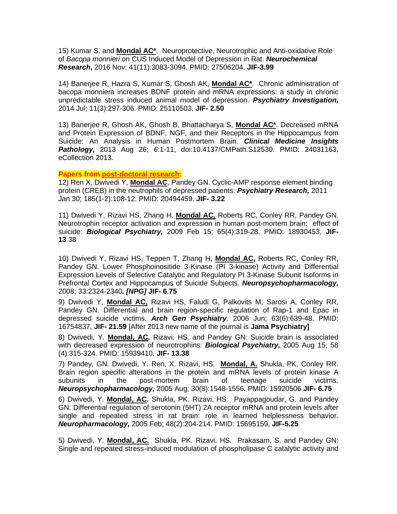15) Kumar S. and **Mondal AC\***.Neuroprotective, Neurotrophic and Anti-oxidative Role of *Bacopa monnieri* on CUS Induced Model of Depression in Rat. *Neurochemical Research***,** 2016 Nov; 41(11):3083-3094. PMID: 27506204. **JIF-3.99**

14) Banerjee R, Hazra S, Kumar S, Ghosh AK, **Mondal AC\***.Chronic administration of bacopa monniera increases BDNF protein and mRNA expressions: a study in chronic unpredictable stress induced animal model of depression. *Psychiatry Investigation,* 2014 Jul; 11(3):297-306. PMID: 25110503, **JIF- 2.50**

13) Banerjee R, Ghosh AK, Ghosh B, Bhattacharya S, **Mondal AC\***. Decreased mRNA and Protein Expression of BDNF, NGF, and their Receptors in the Hippocampus from Suicide: An Analysis in Human Postmortem Brain. *Clinical Medicine Insights Pathology,* 2013 Aug 26; *6*:1-11, doi:10.4137/CMPath.S12530. PMID: 24031163, eCollection 2013.

#### **Papers from post-doctoral research:**

12) Ren X, Dwivedi Y, **Mondal AC**, Pandey GN. Cyclic-AMP response element binding protein (CREB) in the neutrophils of depressed patients: *Psychiatry Research,* 2011 Jan 30; 185(1-2):108-12. PMID: 20494459. **JIF- 3.22**

11) [Dwivedi Y,](http://www.ncbi.nlm.nih.gov/sites/entrez?Db=pubmed&Cmd=Search&Term=%22Dwivedi%20Y%22%5BAuthor%5D&itool=EntrezSystem2.PEntrez.Pubmed.Pubmed_ResultsPanel.Pubmed_RVAbstractPlus) [Rizavi](http://www.ncbi.nlm.nih.gov/sites/entrez?Db=pubmed&Cmd=Search&Term=%22Rizavi%20HS%22%5BAuthor%5D&itool=EntrezSystem2.PEntrez.Pubmed.Pubmed_ResultsPanel.Pubmed_RVAbstractPlus) HS, [Zhang](http://www.ncbi.nlm.nih.gov/sites/entrez?Db=pubmed&Cmd=Search&Term=%22Zhang%20H%22%5BAuthor%5D&itool=EntrezSystem2.PEntrez.Pubmed.Pubmed_ResultsPanel.Pubmed_RVAbstractPlus) H, **[Mondal](http://www.ncbi.nlm.nih.gov/sites/entrez?Db=pubmed&Cmd=Search&Term=%22Mondal%20A%22%5BAuthor%5D&itool=EntrezSystem2.PEntrez.Pubmed.Pubmed_ResultsPanel.Pubmed_RVAbstractPlus) AC,** [Roberts RC,](http://www.ncbi.nlm.nih.gov/sites/entrez?Db=pubmed&Cmd=Search&Term=%22Roberts%20RC%22%5BAuthor%5D&itool=EntrezSystem2.PEntrez.Pubmed.Pubmed_ResultsPanel.Pubmed_RVAbstractPlus) [Conley RR,](http://www.ncbi.nlm.nih.gov/sites/entrez?Db=pubmed&Cmd=Search&Term=%22Conley%20RR%22%5BAuthor%5D&itool=EntrezSystem2.PEntrez.Pubmed.Pubmed_ResultsPanel.Pubmed_RVAbstractPlus) [Pandey GN.](http://www.ncbi.nlm.nih.gov/sites/entrez?Db=pubmed&Cmd=Search&Term=%22Pandey%20GN%22%5BAuthor%5D&itool=EntrezSystem2.PEntrez.Pubmed.Pubmed_ResultsPanel.Pubmed_RVAbstractPlus) Neurotrophin receptor activation and expression in human post-mortem brain: effect of suicide: *Biological Psychiatry,* 2009 Feb 15; 65(4):319-28. PMID: 18930453, **JIF-13**.**38**

10) [Dwivedi Y,](http://www.ncbi.nlm.nih.gov/sites/entrez?Db=pubmed&Cmd=Search&Term=%22Dwivedi%20Y%22%5BAuthor%5D&itool=EntrezSystem2.PEntrez.Pubmed.Pubmed_ResultsPanel.Pubmed_RVAbstractPlus) [Rizavi HS,](http://www.ncbi.nlm.nih.gov/sites/entrez?Db=pubmed&Cmd=Search&Term=%22Rizavi%20HS%22%5BAuthor%5D&itool=EntrezSystem2.PEntrez.Pubmed.Pubmed_ResultsPanel.Pubmed_RVAbstractPlus) [Teppen T,](http://www.ncbi.nlm.nih.gov/sites/entrez?Db=pubmed&Cmd=Search&Term=%22Teppen%20T%22%5BAuthor%5D&itool=EntrezSystem2.PEntrez.Pubmed.Pubmed_ResultsPanel.Pubmed_RVAbstractPlus) [Zhang H,](http://www.ncbi.nlm.nih.gov/sites/entrez?Db=pubmed&Cmd=Search&Term=%22Zhang%20H%22%5BAuthor%5D&itool=EntrezSystem2.PEntrez.Pubmed.Pubmed_ResultsPanel.Pubmed_RVAbstractPlus) **[Mondal AC](http://www.ncbi.nlm.nih.gov/sites/entrez?Db=pubmed&Cmd=Search&Term=%22Mondal%20A%22%5BAuthor%5D&itool=EntrezSystem2.PEntrez.Pubmed.Pubmed_ResultsPanel.Pubmed_RVAbstractPlus),** [Roberts RC,](http://www.ncbi.nlm.nih.gov/sites/entrez?Db=pubmed&Cmd=Search&Term=%22Roberts%20RC%22%5BAuthor%5D&itool=EntrezSystem2.PEntrez.Pubmed.Pubmed_ResultsPanel.Pubmed_RVAbstractPlus) [Conley RR,](http://www.ncbi.nlm.nih.gov/sites/entrez?Db=pubmed&Cmd=Search&Term=%22Conley%20RR%22%5BAuthor%5D&itool=EntrezSystem2.PEntrez.Pubmed.Pubmed_ResultsPanel.Pubmed_RVAbstractPlus) [Pandey](http://www.ncbi.nlm.nih.gov/sites/entrez?Db=pubmed&Cmd=Search&Term=%22Pandey%20GN%22%5BAuthor%5D&itool=EntrezSystem2.PEntrez.Pubmed.Pubmed_ResultsPanel.Pubmed_RVAbstractPlus) GN. Lower Phosphoinositide 3-Kinase (PI 3-kinase) Activity and Differential Expression Levels of Selective Catalytic and Regulatory PI 3-Kinase Subunit Isoforms in Prefrontal Cortex and Hippocampus of Suicide Subjects. *Neuropsychopharmacology,* 2008; 33:2324-2340*. [NPG]* **JIF- 6.75**

9) Dwivedi Y, **Mondal AC,** Rizavi HS, Faludi G, Palkovits M, Sarosi A, Conley RR, Pandey GN. Differential and brain region-specific regulation of Rap-1 and Epac in depressed suicide victims. *Arch Gen Psychiatry*, 2006 Jun; 63(6):639-48. PMID: 16754837, **JIF- 21.59** [After 2013 new name of the journal is **Jama Psychiatry]**

8) Dwivedi, Y. **Mondal, AC.** Rizavi, HS. and Pandey GN: Suicide brain is associated with decreased expression of neurotrophins: *Biological Psychiatry,* 2005 Aug 15; 58 (4):315-324. PMID: 15939410, **JIF- 13.38**

7) Pandey, GN. Dwivedi, Y. Ren, X. Rizavi, HS. **Mondal, A.** Shukla, PK, Conley RR. Brain region specific alterations in the protein and mRNA levels of protein kinase A subunits in the post-mortem brain of teenage suicide victims. *Neuropsychopharmacology,* 2005 Aug; 30(8):1548-1556*.* PMID: 15920506 **JIF- 6.75**

6) Dwivedi, Y. **Mondal, AC.** Shukla, PK. Rizavi, HS. Payappagoudar, G. and Pandey GN: Differential regulation of serotonin (5HT) 2A receptor mRNA and protein levels after single and repeated stress in rat brain: role in learned helplessness behavior. *Neuropharmacology,* 2005 Feb; 48(2):204-214. PMID: 15695159, **JIF-5.25**

5) Dwivedi, Y. **Mondal, AC.** Shukla, PK. Rizavi, HS. Prakasam, S. and Pandey GN: Single and repeated stress-induced modulation of phospholipase C catalytic activity and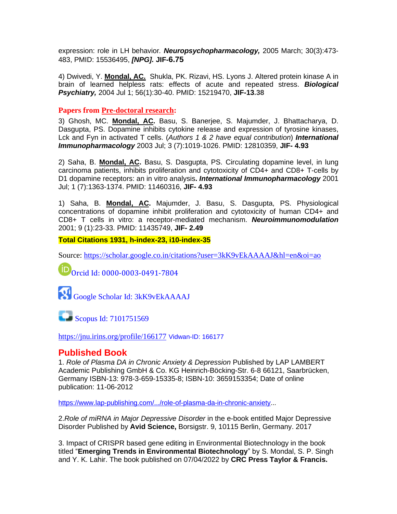expression: role in LH behavior*. Neuropsychopharmacology,* 2005 March; 30(3):473- 483, PMID: 15536495, *[NPG].* **JIF-6.75**

4) Dwivedi, Y. **Mondal, AC.** Shukla, PK. Rizavi, HS. Lyons J. Altered protein kinase A in brain of learned helpless rats: effects of acute and repeated stress. *Biological Psychiatry,* 2004 Jul 1; 56(1):30-40. PMID: 15219470, **JIF-13.38**

### **Papers from Pre-doctoral research:**

3) Ghosh, MC. **Mondal, AC.** Basu, S. Banerjee, S. Majumder, J. Bhattacharya, D. Dasgupta, PS. Dopamine inhibits cytokine release and expression of tyrosine kinases, Lck and Fyn in activated T cells. (*Authors 1 & 2 have equal contribution*) *International Immunopharmacology* 2003 Jul; 3 (7):1019-1026. PMID: 12810359, **JIF- 4.93**

2) Saha, B. **Mondal, AC.** Basu, S. Dasgupta, PS. Circulating dopamine level, in lung carcinoma patients, inhibits proliferation and cytotoxicity of CD4+ and CD8+ T-cells by D1 dopamine receptors: an in vitro analysis**.** *International Immunopharmacology* 2001 Jul; 1 (7):1363-1374. PMID: 11460316, **JIF- 4.93**

1) Saha, B. **Mondal, AC.** Majumder, J. Basu, S. Dasgupta, PS. Physiological concentrations of dopamine inhibit proliferation and cytotoxicity of human CD4+ and CD8+ T cells in vitro: a receptor-mediated mechanism. *Neuroimmunomodulation* 2001; 9 (1):23-33. PMID: 11435749, **JIF- 2.49**

**Total Citations 1931, h-index-23, i10-index-35**

Source:<https://scholar.google.co.in/citations?user=3kK9vEkAAAAJ&hl=en&oi=ao>

Orcid Id: 0000-0003-0491-7804

Google Scholar Id: 3kK9vEkAAAAJ



Scopus Id: 7101751569

<https://jnu.irins.org/profile/166177> Vidwan-ID: 166177

### **Published Book**

1. *Role of Plasma DA in Chronic Anxiety & Depression* Published by LAP LAMBERT Academic Publishing GmbH & Co. KG Heinrich-Böcking-Str. 6-8 66121, Saarbrücken, Germany ISBN-13: 978-3-659-15335-8; ISBN-10: 3659153354; Date of online publication: 11-06-2012

[https://www.lap-publishing.com/.../role-of-plasma-da-in-chronic-anxiety.](https://www.lap-publishing.com/.../role-of-plasma-da-in-chronic-anxiety)..

2.*Role of miRNA in Major Depressive Disorder* in the e-book entitled Major Depressive Disorder Published by **Avid Science,** Borsigstr. 9, 10115 Berlin, Germany. 2017

3. Impact of CRISPR based gene editing in Environmental Biotechnology in the book titled "**Emerging Trends in Environmental Biotechnology**" by S. Mondal, S. P. Singh and Y. K. Lahir. The book published on 07/04/2022 by **CRC Press Taylor & Francis.**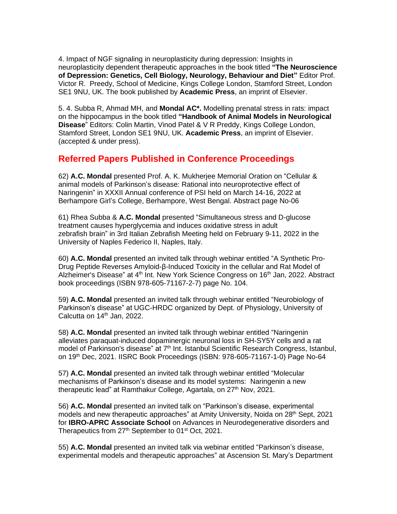4. Impact of NGF signaling in neuroplasticity during depression: Insights in neuroplasticity dependent therapeutic approaches in the book titled **"The Neuroscience of Depression: Genetics, Cell Biology, Neurology, Behaviour and Diet"** Editor Prof. Victor R. Preedy, School of Medicine, Kings College London, Stamford Street, London SE1 9NU, UK. The book published by **Academic Press**, an imprint of Elsevier.

5. 4. Subba R, Ahmad MH, and **Mondal AC\*.** Modelling prenatal stress in rats: impact on the hippocampus in the book titled **"Handbook of Animal Models in Neurological Disease**" Editors: Colin Martin, Vinod Patel & V R Preddy, Kings College London, Stamford Street, London SE1 9NU, UK. **Academic Press**, an imprint of Elsevier. (accepted & under press).

# **Referred Papers Published in Conference Proceedings**

62) **A.C. Mondal** presented Prof. A. K. Mukherjee Memorial Oration on "Cellular & animal models of Parkinson's disease: Rational into neuroprotective effect of Naringenin" in XXXII Annual conference of PSI held on March 14-16, 2022 at Berhampore Girl's College, Berhampore, West Bengal. Abstract page No-06

61) Rhea Subba & **A.C. Mondal** presented "Simultaneous stress and D-glucose treatment causes hyperglycemia and induces oxidative stress in adult zebrafish brain" in 3rd Italian Zebrafish Meeting held on February 9-11, 2022 in the University of Naples Federico II, Naples, Italy.

60) **A.C. Mondal** presented an invited talk through webinar entitled "A Synthetic Pro-Drug Peptide Reverses Amyloid-β-Induced Toxicity in the cellular and Rat Model of Alzheimer's Disease" at 4<sup>th</sup> Int. New York Science Congress on 16<sup>th</sup> Jan, 2022. Abstract book proceedings (ISBN 978-605-71167-2-7) page No. 104.

59) **A.C. Mondal** presented an invited talk through webinar entitled "Neurobiology of Parkinson's disease" at UGC-HRDC organized by Dept. of Physiology, University of Calcutta on 14<sup>th</sup> Jan, 2022.

58) **A.C. Mondal** presented an invited talk through webinar entitled "Naringenin alleviates paraquat-induced dopaminergic neuronal loss in SH-SY5Y cells and a rat model of Parkinson's disease" at 7<sup>th</sup> Int. Istanbul Scientific Research Congress, Istanbul, on 19th Dec, 2021. IISRC Book Proceedings (ISBN: 978-605-71167-1-0) Page No-64

57) **A.C. Mondal** presented an invited talk through webinar entitled "Molecular mechanisms of Parkinson's disease and its model systems: Naringenin a new therapeutic lead" at Ramthakur College, Agartala, on 27<sup>th</sup> Nov, 2021.

56) **A.C. Mondal** presented an invited talk on "Parkinson's disease, experimental models and new therapeutic approaches" at Amity University, Noida on 28<sup>th</sup> Sept, 2021 for **IBRO-APRC Associate School** on Advances in Neurodegenerative disorders and Therapeutics from  $27<sup>th</sup>$  September to 01<sup>st</sup> Oct, 2021.

55) **A.C. Mondal** presented an invited talk via webinar entitled "Parkinson's disease, experimental models and therapeutic approaches" at Ascension St. Mary's Department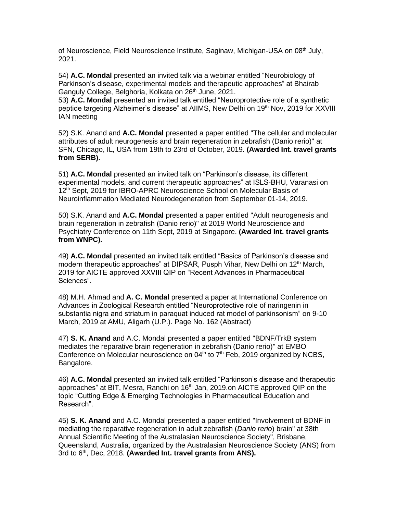of Neuroscience, Field Neuroscience Institute, Saginaw, Michigan-USA on 08<sup>th</sup> July, 2021.

54) **A.C. Mondal** presented an invited talk via a webinar entitled "Neurobiology of Parkinson's disease, experimental models and therapeutic approaches" at Bhairab Ganguly College, Belghoria, Kolkata on 26<sup>th</sup> June, 2021.

53) **A.C. Mondal** presented an invited talk entitled "Neuroprotective role of a synthetic peptide targeting Alzheimer's disease" at AIIMS, New Delhi on 19<sup>th</sup> Nov, 2019 for XXVIII IAN meeting

52) S.K. Anand and **A.C. Mondal** presented a paper entitled "The cellular and molecular attributes of adult neurogenesis and brain regeneration in zebrafish (Danio rerio)" at SFN, Chicago, IL, USA from 19th to 23rd of October, 2019. **(Awarded Int. travel grants from SERB).**

51) **A.C. Mondal** presented an invited talk on "Parkinson's disease, its different experimental models, and current therapeutic approaches" at ISLS-BHU, Varanasi on 12<sup>th</sup> Sept, 2019 for IBRO-APRC Neuroscience School on Molecular Basis of Neuroinflammation Mediated Neurodegeneration from September 01-14, 2019.

50) S.K. Anand and **A.C. Mondal** presented a paper entitled "Adult neurogenesis and brain regeneration in zebrafish (Danio rerio)" at 2019 World Neuroscience and Psychiatry Conference on 11th Sept, 2019 at Singapore. **(Awarded Int. travel grants from WNPC).**

49) **A.C. Mondal** presented an invited talk entitled "Basics of Parkinson's disease and modern therapeutic approaches" at DIPSAR, Pusph Vihar, New Delhi on 12<sup>th</sup> March. 2019 for AICTE approved XXVIII QIP on "Recent Advances in Pharmaceutical Sciences".

48) M.H. Ahmad and **A. C. Mondal** presented a paper at International Conference on Advances in Zoological Research entitled "Neuroprotective role of naringenin in substantia nigra and striatum in paraquat induced rat model of parkinsonism" on 9-10 March, 2019 at AMU, Aligarh (U.P.). Page No. 162 (Abstract)

47) **S. K. Anand** and A.C. Mondal presented a paper entitled "BDNF/TrkB system mediates the reparative brain regeneration in zebrafish (Danio rerio)" at EMBO Conference on Molecular neuroscience on  $04<sup>th</sup>$  to  $7<sup>th</sup>$  Feb, 2019 organized by NCBS. Bangalore.

46) **A.C. Mondal** presented an invited talk entitled "Parkinson's disease and therapeutic approaches" at BIT, Mesra, Ranchi on 16<sup>th</sup> Jan, 2019 on AICTE approved QIP on the topic "Cutting Edge & Emerging Technologies in Pharmaceutical Education and Research".

45) **S. K. Anand** and A.C. Mondal presented a paper entitled "Involvement of BDNF in mediating the reparative regeneration in adult zebrafish (*Danio rerio*) brain" at 38th Annual Scientific Meeting of the Australasian Neuroscience Society", Brisbane, Queensland, Australia, organized by the Australasian Neuroscience Society (ANS) from 3rd to 6<sup>th</sup>, Dec, 2018. (Awarded Int. travel grants from ANS).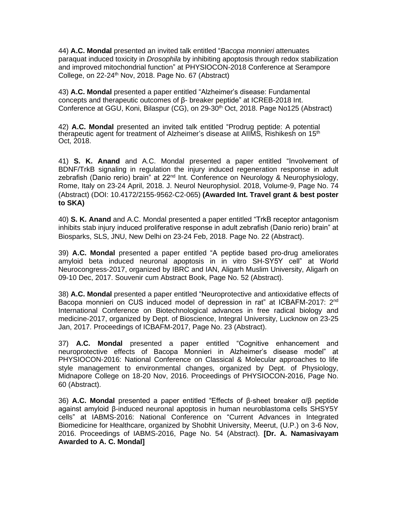44) **A.C. Mondal** presented an invited talk entitled "*Bacopa monnieri* attenuates paraquat induced toxicity in *Drosophila* by inhibiting apoptosis through redox stabilization and improved mitochondrial function" at PHYSIOCON-2018 Conference at Serampore College, on  $22-24$ <sup>th</sup> Nov, 2018. Page No. 67 (Abstract)

43) **A.C. Mondal** presented a paper entitled "Alzheimer's disease: Fundamental concepts and therapeutic outcomes of β- breaker peptide" at ICREB-2018 Int. Conference at GGU, Koni, Bilaspur (CG), on 29-30<sup>th</sup> Oct, 2018. Page No125 (Abstract)

42) **A.C. Mondal** presented an invited talk entitled "Prodrug peptide: A potential therapeutic agent for treatment of Alzheimer's disease at AIIMS, Rishikesh on 15<sup>th</sup> Oct, 2018.

41) **S. K. Anand** and A.C. Mondal presented a paper entitled "Involvement of BDNF/TrkB signaling in regulation the injury induced regeneration response in adult zebrafish (Danio rerio) brain" at 22<sup>nd</sup> Int. Conference on Neurology & Neurophysiology, Rome, Italy on 23-24 April, 2018. J. Neurol Neurophysiol. 2018, Volume-9, Page No. 74 (Abstract) (DOI: 10.4172/2155-9562-C2-065) **(Awarded Int. Travel grant & best poster to SKA)**

40) **S. K. Anand** and A.C. Mondal presented a paper entitled "TrkB receptor antagonism inhibits stab injury induced proliferative response in adult zebrafish (Danio rerio) brain" at Biosparks, SLS, JNU, New Delhi on 23-24 Feb, 2018. Page No. 22 (Abstract).

39) **A.C. Mondal** presented a paper entitled "A peptide based pro-drug ameliorates amyloid beta induced neuronal apoptosis in in vitro SH-SY5Y cell" at World Neurocongress-2017, organized by IBRC and IAN, Aligarh Muslim University, Aligarh on 09-10 Dec, 2017. Souvenir cum Abstract Book, Page No. 52 (Abstract).

38) **A.C. Mondal** presented a paper entitled "Neuroprotective and antioxidative effects of Bacopa monnieri on CUS induced model of depression in rat" at ICBAFM-2017: 2<sup>nd</sup> International Conference on Biotechnological advances in free radical biology and medicine-2017, organized by Dept. of Bioscience, Integral University, Lucknow on 23-25 Jan, 2017. Proceedings of ICBAFM-2017, Page No. 23 (Abstract).

37) **A.C. Mondal** presented a paper entitled "Cognitive enhancement and neuroprotective effects of Bacopa Monnieri in Alzheimer's disease model" at PHYSIOCON-2016: National Conference on Classical & Molecular approaches to life style management to environmental changes, organized by Dept. of Physiology, Midnapore College on 18-20 Nov, 2016. Proceedings of PHYSIOCON-2016, Page No. 60 (Abstract).

36) **A.C. Mondal** presented a paper entitled "Effects of β-sheet breaker α/β peptide against amyloid β-induced neuronal apoptosis in human neuroblastoma cells SHSY5Y cells" at [IABMS-2016: National Conference on "C](https://sites.google.com/site/neuroconkolkata/)urrent Advances in Integrated Biomedicine for Healthcare, organized by Shobhit University, Meerut, (U.P.) on 3-6 Nov, 2016. Proceedings of IABMS-2016, Page No. 54 (Abstract). **[Dr. A. Namasivayam Awarded to A. C. Mondal]**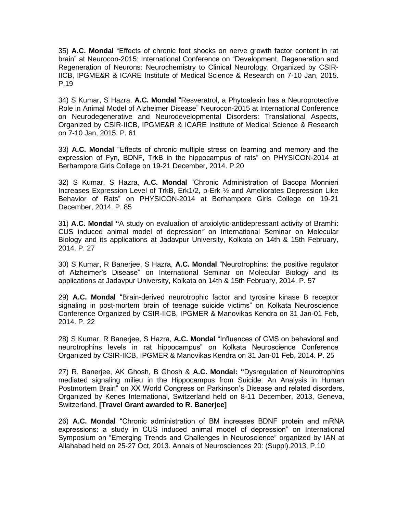35) **A.C. Mondal** "Effects of chronic foot shocks on nerve growth factor content in rat brain" at Neurocon-2015: [International Conference on "Development, Degeneration and](https://sites.google.com/site/neuroconkolkata/)  Regeneration of Neurons: [Neurochemistry to Clinical Neurology,](https://sites.google.com/site/neuroconkolkata/) Organized by CSIR-IICB, IPGME&R & ICARE Institute of Medical Science & Research on 7-10 Jan, 2015. P.19

34) S Kumar, S Hazra, **A.C. Mondal** "Resveratrol, a Phytoalexin has a Neuroprotective Role in Animal Model of Alzheimer Disease" [Neurocon-2015 at International Conference](https://sites.google.com/site/neuroconkolkata/)  [on Neurodegenerative and Neurodevelopmental Disorders: Translational Aspec](https://sites.google.com/site/neuroconkolkata/)ts, Organized by CSIR-IICB, IPGME&R & ICARE Institute of Medical Science & Research on 7-10 Jan, 2015. P. 61

33) **A.C. Mondal** "Effects of chronic multiple stress on learning and memory and the expression of Fyn, BDNF, TrkB in the hippocampus of rats" on PHYSICON-2014 at Berhampore Girls College on 19-21 December, 2014. P.20

32) S Kumar, S Hazra, **A.C. Mondal** "Chronic Administration of Bacopa Monnieri Increases Expression Level of TrkB, Erk1/2, p-Erk ½ and Ameliorates Depression Like Behavior of Rats" on PHYSICON-2014 at Berhampore Girls College on 19-21 December, 2014. P. 85

31) **A.C. Mondal "**A study on evaluation of anxiolytic-antidepressant activity of Bramhi: CUS induced animal model of depression*"* on International Seminar on Molecular Biology and its applications at Jadavpur University, Kolkata on 14th & 15th February, 2014. P. 27

30) S Kumar, R Banerjee, S Hazra, **A.C. Mondal** "Neurotrophins: the positive regulator of Alzheimer's Disease" on International Seminar on Molecular Biology and its applications at Jadavpur University, Kolkata on 14th & 15th February, 2014. P. 57

29) **A.C. Mondal** "Brain-derived neurotrophic factor and tyrosine kinase B receptor signaling in post-mortem brain of teenage suicide victims" on Kolkata Neuroscience Conference Organized by CSIR-IICB, IPGMER & Manovikas Kendra on 31 Jan-01 Feb, 2014. P. 22

28) S Kumar, R Banerjee, S Hazra, **A.C. Mondal** "Influences of CMS on behavioral and neurotrophins levels in rat hippocampus" on Kolkata Neuroscience Conference Organized by CSIR-IICB, IPGMER & Manovikas Kendra on 31 Jan-01 Feb, 2014. P. 25

27) R. Banerjee, AK Ghosh, B Ghosh & **A.C. Mondal: "**Dysregulation of Neurotrophins mediated signaling milieu in the Hippocampus from Suicide: An Analysis in Human Postmortem Brain" on XX World Congress on Parkinson's Disease and related disorders, Organized by Kenes International, Switzerland held on 8-11 December, 2013, Geneva, Switzerland. **[Travel Grant awarded to R. Banerjee]**

26) **A.C. Mondal** "Chronic administration of BM increases BDNF protein and mRNA expressions: a study in CUS induced animal model of depression" on International Symposium on "Emerging Trends and Challenges in Neuroscience" organized by IAN at Allahabad held on 25-27 Oct, 2013. Annals of Neurosciences 20: (Suppl).2013, P.10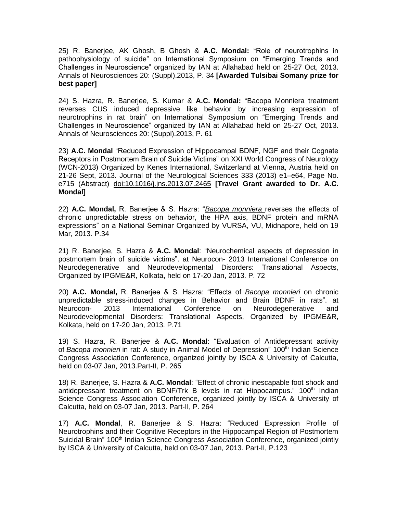25) R. Banerjee, AK Ghosh, B Ghosh & **A.C. Mondal:** "Role of neurotrophins in pathophysiology of suicide" on International Symposium on "Emerging Trends and Challenges in Neuroscience" organized by IAN at Allahabad held on 25-27 Oct, 2013. Annals of Neurosciences 20: (Suppl).2013, P. 34 **[Awarded Tulsibai Somany prize for best paper]**

24) S. Hazra, R. Banerjee, S. Kumar & **A.C. Mondal:** "Bacopa Monniera treatment reverses CUS induced depressive like behavior by increasing expression of neurotrophins in rat brain" on International Symposium on "Emerging Trends and Challenges in Neuroscience" organized by IAN at Allahabad held on 25-27 Oct, 2013. Annals of Neurosciences 20: (Suppl).2013, P. 61

23) **A.C. Mondal** "Reduced Expression of Hippocampal BDNF, NGF and their Cognate Receptors in Postmortem Brain of Suicide Victims" on XXI World Congress of Neurology (WCN-2013) Organized by Kenes International, Switzerland at Vienna, Austria held on 21-26 Sept, 2013. Journal of the Neurological Sciences 333 (2013) e1–e64, Page No. e715 (Abstract) doi:10.1016/j.jns.2013.07.2465 **[Travel Grant awarded to Dr. A.C. Mondal]**

22) **A.C. Mondal,** R. Banerjee & S. Hazra: "*Bacopa monniera* reverses the effects of chronic unpredictable stress on behavior, the HPA axis, BDNF protein and mRNA expressions" on a National Seminar Organized by VURSA, VU, Midnapore, held on 19 Mar, 2013. P.34

21) R. Banerjee, S. Hazra & **A.C. Mondal**: "Neurochemical aspects of depression in postmortem brain of suicide victims". at Neurocon- 2013 [International Conference on](https://sites.google.com/site/neuroconkolkata/)  [Neurodegenerative and Neurodevelopmental Disorders: Translational Aspec](https://sites.google.com/site/neuroconkolkata/)ts, Organized by IPGME&R, Kolkata, held on 17-20 Jan, 2013. P. 72

20) **A.C. Mondal,** R. Banerjee & S. Hazra: "Effects of *Bacopa monnieri* on chronic unpredictable stress-induced changes in Behavior and Brain BDNF in rats". at Neurocon- 2013 [International Conference on Neurodegenerative and](https://sites.google.com/site/neuroconkolkata/)  [Neurodevelopmental Disorders: Translational Aspec](https://sites.google.com/site/neuroconkolkata/)ts, Organized by IPGME&R, Kolkata, held on 17-20 Jan, 2013. P.71

19) S. Hazra, R. Banerjee & **A.C. Mondal**: "Evaluation of Antidepressant activity of *Bacopa monnieri* in rat: A study in Animal Model of Depression" 100<sup>th</sup> Indian Science Congress Association Conference, organized jointly by ISCA & University of Calcutta, held on 03-07 Jan, 2013.Part-II, P. 265

18) R. Banerjee, S. Hazra & **A.C. Mondal**: "Effect of chronic inescapable foot shock and antidepressant treatment on BDNF/Trk B levels in rat Hippocampus." 100<sup>th</sup> Indian Science Congress Association Conference, organized jointly by ISCA & University of Calcutta, held on 03-07 Jan, 2013. Part-II, P. 264

17) **A.C. Mondal**, R. Banerjee & S. Hazra: "Reduced Expression Profile of Neurotrophins and their Cognitive Receptors in the Hippocampal Region of Postmortem Suicidal Brain" 100<sup>th</sup> Indian Science Congress Association Conference, organized jointly by ISCA & University of Calcutta, held on 03-07 Jan, 2013. Part-II, P.123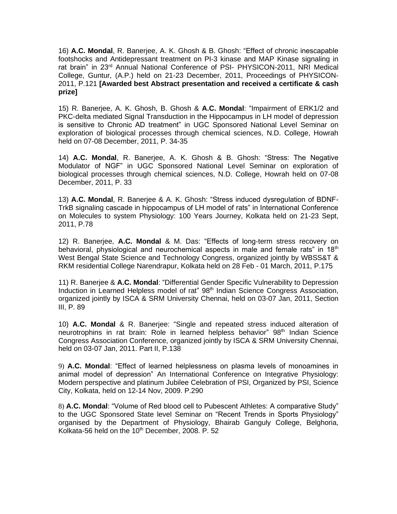16) **A.C. Mondal**, R. Banerjee, A. K. Ghosh & B. Ghosh: "Effect of chronic inescapable footshocks and Antidepressant treatment on PI-3 kinase and MAP Kinase signaling in rat brain" in 23<sup>rd</sup> Annual National Conference of PSI- PHYSICON-2011, NRI Medical College, Guntur, (A.P.) held on 21-23 December, 2011, Proceedings of PHYSICON-2011, P.121 **[Awarded best Abstract presentation and received a certificate & cash prize]**

15) R. Banerjee, A. K. Ghosh, B. Ghosh & **A.C. Mondal**: "Impairment of ERK1/2 and PKC-delta mediated Signal Transduction in the Hippocampus in LH model of depression is sensitive to Chronic AD treatment" in UGC Sponsored National Level Seminar on exploration of biological processes through chemical sciences, N.D. College, Howrah held on 07-08 December, 2011, P. 34-35

14) **A.C. Mondal**, R. Banerjee, A. K. Ghosh & B. Ghosh: "Stress: The Negative Modulator of NGF" in UGC Sponsored National Level Seminar on exploration of biological processes through chemical sciences, N.D. College, Howrah held on 07-08 December, 2011, P. 33

13) **A.C. Mondal**, R. Banerjee & A. K. Ghosh: "Stress induced dysregulation of BDNF-TrkB signaling cascade in hippocampus of LH model of rats" in International Conference on Molecules to system Physiology: 100 Years Journey, Kolkata held on 21-23 Sept, 2011, P.78

12) R. Banerjee, **A.C. Mondal** & M. Das: "Effects of long-term stress recovery on behavioral, physiological and neurochemical aspects in male and female rats" in 18<sup>th</sup> West Bengal State Science and Technology Congress, organized jointly by WBSS&T & RKM residential College Narendrapur, Kolkata held on 28 Feb - 01 March, 2011, P.175

11) R. Banerjee & **A.C. Mondal**: "Differential Gender Specific Vulnerability to Depression Induction in Learned Helpless model of rat" 98<sup>th</sup> Indian Science Congress Association, organized jointly by ISCA & SRM University Chennai, held on 03-07 Jan, 2011, Section III, P. 89

10) **A.C. Mondal** & R. Banerjee: "Single and repeated stress induced alteration of neurotrophins in rat brain: Role in learned helpless behavior" 98<sup>th</sup> Indian Science Congress Association Conference, organized jointly by ISCA & SRM University Chennai, held on 03-07 Jan, 2011. Part II, P.138

9) **A.C. Mondal**: "Effect of learned helplessness on plasma levels of monoamines in animal model of depression" An International Conference on Integrative Physiology: Modern perspective and platinum Jubilee Celebration of PSI, Organized by PSI, Science City, Kolkata, held on 12-14 Nov, 2009. P.290

8) **A.C. Mondal**: "Volume of Red blood cell to Pubescent Athletes: A comparative Study" to the UGC Sponsored State level Seminar on "Recent Trends in Sports Physiology" organised by the Department of Physiology, Bhairab Ganguly College, Belghoria, Kolkata-56 held on the 10<sup>th</sup> December, 2008. P. 52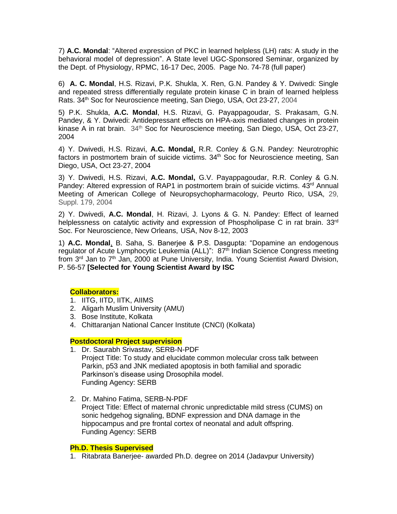7) **A.C. Mondal**: "Altered expression of PKC in learned helpless (LH) rats: A study in the behavioral model of depression". A State level UGC-Sponsored Seminar, organized by the Dept. of Physiology, RPMC, 16-17 Dec, 2005. Page No. 74-78 (full paper)

6) **A. C. Mondal**, H.S. Rizavi, P.K. Shukla, X. Ren, G.N. Pandey & Y. Dwivedi: Single and repeated stress differentially regulate protein kinase C in brain of learned helpless Rats. 34<sup>th</sup> Soc for Neuroscience meeting, San Diego, USA, Oct 23-27, 2004

5) P.K. Shukla, **A.C. Mondal**, H.S. Rizavi, G. Payappagoudar, S. Prakasam, G.N. Pandey, & Y. Dwivedi: Antidepressant effects on HPA-axis mediated changes in protein kinase A in rat brain. 34<sup>th</sup> Soc for Neuroscience meeting, San Diego, USA, Oct 23-27, 2004

4) Y. Dwivedi, H.S. Rizavi, **A.C. Mondal**, R.R. Conley & G.N. Pandey: Neurotrophic factors in postmortem brain of suicide victims.  $34<sup>th</sup>$  Soc for Neuroscience meeting, San Diego, USA, Oct 23-27, 2004

3) Y. Dwivedi, H.S. Rizavi, **A.C. Mondal,** G.V. Payappagoudar, R.R. Conley & G.N. Pandey: Altered expression of RAP1 in postmortem brain of suicide victims. 43<sup>rd</sup> Annual Meeting of American College of Neuropsychopharmacology, Peurto Rico, USA, 29, Suppl. 179, 2004

2) Y. Dwivedi, **A.C. Mondal**, H. Rizavi, J. Lyons & G. N. Pandey: Effect of learned helplessness on catalytic activity and expression of Phospholipase C in rat brain. 33<sup>rd</sup> Soc. For Neuroscience, New Orleans, USA, Nov 8-12, 2003

1) **A.C. Mondal**, B. Saha, S. Banerjee & P.S. Dasgupta: "Dopamine an endogenous regulator of Acute Lymphocytic Leukemia (ALL)": 87<sup>th</sup> Indian Science Congress meeting from 3<sup>rd</sup> Jan to 7<sup>th</sup> Jan, 2000 at Pune University, India. Young Scientist Award Division, P. 56-57 **[Selected for Young Scientist Award by ISC**

#### **Collaborators:**

- 1. IITG, IITD, IITK, AIIMS
- 2. Aligarh Muslim University (AMU)
- 3. Bose Institute, Kolkata
- 4. Chittaranjan National Cancer Institute (CNCI) (Kolkata)

#### **Postdoctoral Project supervision**

- 1. Dr. Saurabh Srivastav, SERB-N-PDF Project Title: To study and elucidate common molecular cross talk between Parkin, p53 and JNK mediated apoptosis in both familial and sporadic Parkinson's disease using Drosophila model. Funding Agency: SERB
- 2. Dr. Mahino Fatima, SERB-N-PDF Project Title: Effect of maternal chronic unpredictable mild stress (CUMS) on sonic hedgehog signaling, BDNF expression and DNA damage in the hippocampus and pre frontal cortex of neonatal and adult offspring. Funding Agency: SERB

#### **Ph.D. Thesis Supervised**

1. Ritabrata Banerjee- awarded Ph.D. degree on 2014 (Jadavpur University)